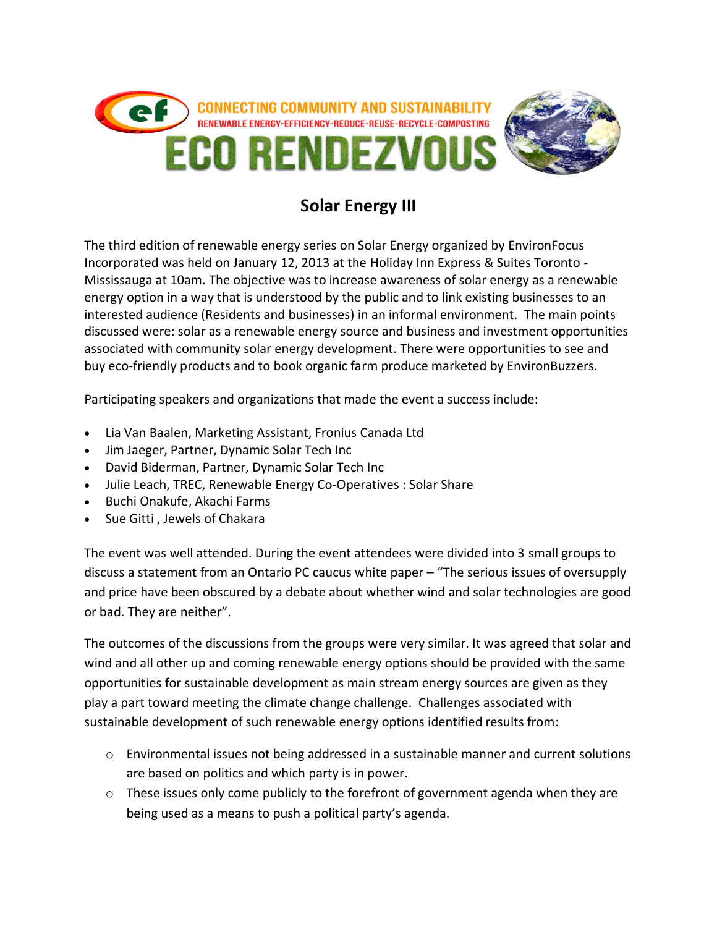

## **Solar Energy III**

The third edition of renewable energy series on Solar Energy organized by EnvironFocus Incorporated was held on January 12, 2013 at the Holiday Inn Express & Suites Toronto - Mississauga at 10am. The objective was to increase awareness of solar energy as a renewable energy option in a way that is understood by the public and to link existing businesses to an interested audience (Residents and businesses) in an informal environment. The main points discussed were: solar as a renewable energy source and business and investment opportunities associated with community solar energy development. There were opportunities to see and buy eco-friendly products and to book organic farm produce marketed by EnvironBuzzers.

Participating speakers and organizations that made the event a success include:

- Lia Van Baalen, Marketing Assistant, Fronius Canada Ltd
- Jim Jaeger, Partner, Dynamic Solar Tech Inc
- David Biderman, Partner, Dynamic Solar Tech Inc
- Julie Leach, TREC, Renewable Energy Co-Operatives : Solar Share
- Buchi Onakufe, Akachi Farms
- Sue Gitti, Jewels of Chakara

The event was well attended. During the event attendees were divided into 3 small groups to discuss a statement from an Ontario PC caucus white paper – "The serious issues of oversupply and price have been obscured by a debate about whether wind and solar technologies are good or bad. They are neither".

The outcomes of the discussions from the groups were very similar. It was agreed that solar and wind and all other up and coming renewable energy options should be provided with the same opportunities for sustainable development as main stream energy sources are given as they play a part toward meeting the climate change challenge. Challenges associated with sustainable development of such renewable energy options identified results from:

- $\circ$  Environmental issues not being addressed in a sustainable manner and current solutions are based on politics and which party is in power.
- $\circ$  These issues only come publicly to the forefront of government agenda when they are being used as a means to push a political party's agenda.